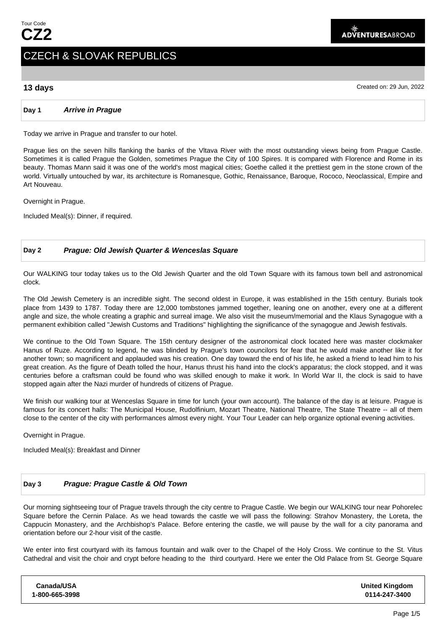# CZECH & SLOVAK REPUBLICS

**13 days** Created on: 29 Jun, 2022

#### **Day 1 Arrive in Prague**

Today we arrive in Prague and transfer to our hotel.

Prague lies on the seven hills flanking the banks of the Vltava River with the most outstanding views being from Prague Castle. Sometimes it is called Prague the Golden, sometimes Prague the City of 100 Spires. It is compared with Florence and Rome in its beauty. Thomas Mann said it was one of the world's most magical cities; Goethe called it the prettiest gem in the stone crown of the world. Virtually untouched by war, its architecture is Romanesque, Gothic, Renaissance, Baroque, Rococo, Neoclassical, Empire and Art Nouveau.

Overnight in Prague.

Included Meal(s): Dinner, if required.

#### **Day 2 Prague: Old Jewish Quarter & Wenceslas Square**

Our WALKING tour today takes us to the Old Jewish Quarter and the old Town Square with its famous town bell and astronomical clock.

The Old Jewish Cemetery is an incredible sight. The second oldest in Europe, it was established in the 15th century. Burials took place from 1439 to 1787. Today there are 12,000 tombstones jammed together, leaning one on another, every one at a different angle and size, the whole creating a graphic and surreal image. We also visit the museum/memorial and the Klaus Synagogue with a permanent exhibition called "Jewish Customs and Traditions" highlighting the significance of the synagogue and Jewish festivals.

We continue to the Old Town Square. The 15th century designer of the astronomical clock located here was master clockmaker Hanus of Ruze. According to legend, he was blinded by Prague's town councilors for fear that he would make another like it for another town; so magnificent and applauded was his creation. One day toward the end of his life, he asked a friend to lead him to his great creation. As the figure of Death tolled the hour, Hanus thrust his hand into the clock's apparatus; the clock stopped, and it was centuries before a craftsman could be found who was skilled enough to make it work. In World War II, the clock is said to have stopped again after the Nazi murder of hundreds of citizens of Prague.

We finish our walking tour at Wenceslas Square in time for lunch (your own account). The balance of the day is at leisure. Prague is famous for its concert halls: The Municipal House, Rudolfinium, Mozart Theatre, National Theatre, The State Theatre -- all of them close to the center of the city with performances almost every night. Your Tour Leader can help organize optional evening activities.

Overnight in Prague.

Included Meal(s): Breakfast and Dinner

### **Day 3 Prague: Prague Castle & Old Town**

Our morning sightseeing tour of Prague travels through the city centre to Prague Castle. We begin our WALKING tour near Pohorelec Square before the Cernin Palace. As we head towards the castle we will pass the following: Strahov Monastery, the Loreta, the Cappucin Monastery, and the Archbishop's Palace. Before entering the castle, we will pause by the wall for a city panorama and orientation before our 2-hour visit of the castle.

We enter into first courtyard with its famous fountain and walk over to the Chapel of the Holy Cross. We continue to the St. Vitus Cathedral and visit the choir and crypt before heading to the third courtyard. Here we enter the Old Palace from St. George Square

| Canada/USA     | <b>United Kingdom</b> |
|----------------|-----------------------|
| 1-800-665-3998 | 0114-247-3400         |
|                |                       |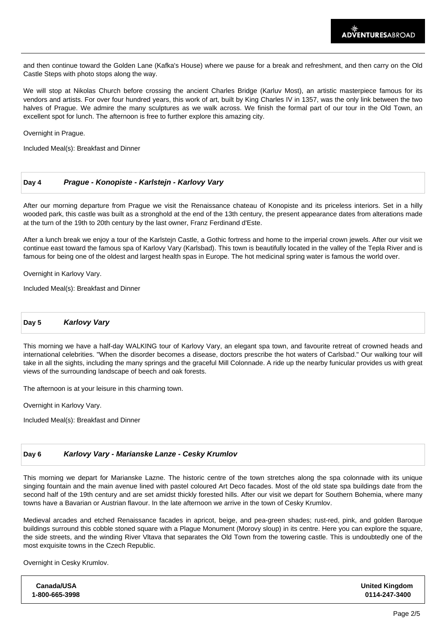and then continue toward the Golden Lane (Kafka's House) where we pause for a break and refreshment, and then carry on the Old Castle Steps with photo stops along the way.

We will stop at Nikolas Church before crossing the ancient Charles Bridge (Karluv Most), an artistic masterpiece famous for its vendors and artists. For over four hundred years, this work of art, built by King Charles IV in 1357, was the only link between the two halves of Prague. We admire the many sculptures as we walk across. We finish the formal part of our tour in the Old Town, an excellent spot for lunch. The afternoon is free to further explore this amazing city.

Overnight in Prague.

Included Meal(s): Breakfast and Dinner

#### **Day 4 Prague - Konopiste - Karlstejn - Karlovy Vary**

After our morning departure from Prague we visit the Renaissance chateau of Konopiste and its priceless interiors. Set in a hilly wooded park, this castle was built as a stronghold at the end of the 13th century, the present appearance dates from alterations made at the turn of the 19th to 20th century by the last owner, Franz Ferdinand d'Este.

After a lunch break we enjoy a tour of the Karlstejn Castle, a Gothic fortress and home to the imperial crown jewels. After our visit we continue east toward the famous spa of Karlovy Vary (Karlsbad). This town is beautifully located in the valley of the Tepla River and is famous for being one of the oldest and largest health spas in Europe. The hot medicinal spring water is famous the world over.

Overnight in Karlovy Vary.

Included Meal(s): Breakfast and Dinner

**Day 5 Karlovy Vary**

This morning we have a half-day WALKING tour of Karlovy Vary, an elegant spa town, and favourite retreat of crowned heads and international celebrities. "When the disorder becomes a disease, doctors prescribe the hot waters of Carlsbad." Our walking tour will take in all the sights, including the many springs and the graceful Mill Colonnade. A ride up the nearby funicular provides us with great views of the surrounding landscape of beech and oak forests.

The afternoon is at your leisure in this charming town.

Overnight in Karlovy Vary.

Included Meal(s): Breakfast and Dinner

#### **Day 6 Karlovy Vary - Marianske Lanze - Cesky Krumlov**

This morning we depart for Marianske Lazne. The historic centre of the town stretches along the spa colonnade with its unique singing fountain and the main avenue lined with pastel coloured Art Deco facades. Most of the old state spa buildings date from the second half of the 19th century and are set amidst thickly forested hills. After our visit we depart for Southern Bohemia, where many towns have a Bavarian or Austrian flavour. In the late afternoon we arrive in the town of Cesky Krumlov.

Medieval arcades and etched Renaissance facades in apricot, beige, and pea-green shades; rust-red, pink, and golden Baroque buildings surround this cobble stoned square with a Plague Monument (Morovy sloup) in its centre. Here you can explore the square, the side streets, and the winding River Vltava that separates the Old Town from the towering castle. This is undoubtedly one of the most exquisite towns in the Czech Republic.

Overnight in Cesky Krumlov.

| Canada/USA     | <b>United Kingdom</b> |
|----------------|-----------------------|
| 1-800-665-3998 | 0114-247-3400         |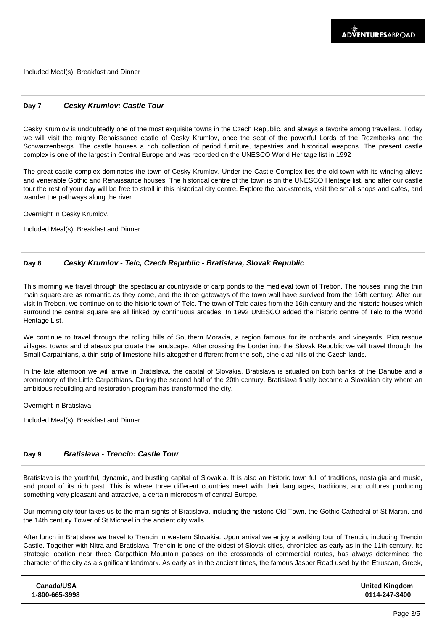Included Meal(s): Breakfast and Dinner

#### **Day 7 Cesky Krumlov: Castle Tour**

Cesky Krumlov is undoubtedly one of the most exquisite towns in the Czech Republic, and always a favorite among travellers. Today we will visit the mighty Renaissance castle of Cesky Krumlov, once the seat of the powerful Lords of the Rozmberks and the Schwarzenbergs. The castle houses a rich collection of period furniture, tapestries and historical weapons. The present castle complex is one of the largest in Central Europe and was recorded on the UNESCO World Heritage list in 1992

The great castle complex dominates the town of Cesky Krumlov. Under the Castle Complex lies the old town with its winding alleys and venerable Gothic and Renaissance houses. The historical centre of the town is on the UNESCO Heritage list, and after our castle tour the rest of your day will be free to stroll in this historical city centre. Explore the backstreets, visit the small shops and cafes, and wander the pathways along the river.

Overnight in Cesky Krumlov.

Included Meal(s): Breakfast and Dinner

#### **Day 8 Cesky Krumlov - Telc, Czech Republic - Bratislava, Slovak Republic**

This morning we travel through the spectacular countryside of carp ponds to the medieval town of Trebon. The houses lining the thin main square are as romantic as they come, and the three gateways of the town wall have survived from the 16th century. After our visit in Trebon, we continue on to the historic town of Telc. The town of Telc dates from the 16th century and the historic houses which surround the central square are all linked by continuous arcades. In 1992 UNESCO added the historic centre of Telc to the World Heritage List.

We continue to travel through the rolling hills of Southern Moravia, a region famous for its orchards and vineyards. Picturesque villages, towns and chateaux punctuate the landscape. After crossing the border into the Slovak Republic we will travel through the Small Carpathians, a thin strip of limestone hills altogether different from the soft, pine-clad hills of the Czech lands.

In the late afternoon we will arrive in Bratislava, the capital of Slovakia. Bratislava is situated on both banks of the Danube and a promontory of the Little Carpathians. During the second half of the 20th century, Bratislava finally became a Slovakian city where an ambitious rebuilding and restoration program has transformed the city.

Overnight in Bratislava.

Included Meal(s): Breakfast and Dinner

#### **Day 9 Bratislava - Trencin: Castle Tour**

Bratislava is the youthful, dynamic, and bustling capital of Slovakia. It is also an historic town full of traditions, nostalgia and music, and proud of its rich past. This is where three different countries meet with their languages, traditions, and cultures producing something very pleasant and attractive, a certain microcosm of central Europe.

Our morning city tour takes us to the main sights of Bratislava, including the historic Old Town, the Gothic Cathedral of St Martin, and the 14th century Tower of St Michael in the ancient city walls.

After lunch in Bratislava we travel to Trencin in western Slovakia. Upon arrival we enjoy a walking tour of Trencin, including Trencin Castle. Together with Nitra and Bratislava, Trencin is one of the oldest of Slovak cities, chronicled as early as in the 11th century. Its strategic location near three Carpathian Mountain passes on the crossroads of commercial routes, has always determined the character of the city as a significant landmark. As early as in the ancient times, the famous Jasper Road used by the Etruscan, Greek,

| Canada/USA     | <b>United Kingdom</b> |
|----------------|-----------------------|
| 1-800-665-3998 | 0114-247-3400         |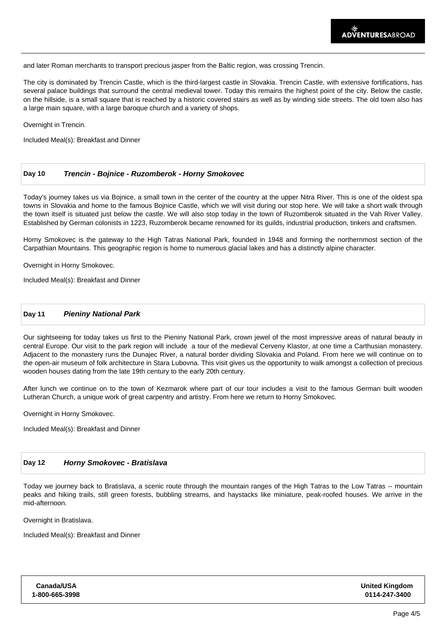and later Roman merchants to transport precious jasper from the Baltic region, was crossing Trencin.

The city is dominated by Trencin Castle, which is the third-largest castle in Slovakia. Trencin Castle, with extensive fortifications, has several palace buildings that surround the central medieval tower. Today this remains the highest point of the city. Below the castle, on the hillside, is a small square that is reached by a historic covered stairs as well as by winding side streets. The old town also has a large main square, with a large baroque church and a variety of shops.

Overnight in Trencin.

Included Meal(s): Breakfast and Dinner

#### **Day 10 Trencin - Bojnice - Ruzomberok - Horny Smokovec**

Today's journey takes us via Bojnice, a small town in the center of the country at the upper Nitra River. This is one of the oldest spa towns in Slovakia and home to the famous Bojnice Castle, which we will visit during our stop here. We will take a short walk through the town itself is situated just below the castle. We will also stop today in the town of Ruzomberok situated in the Vah River Valley. Established by German colonists in 1223, Ruzomberok became renowned for its guilds, industrial production, tinkers and craftsmen.

Horny Smokovec is the gateway to the High Tatras National Park, founded in 1948 and forming the northernmost section of the Carpathian Mountains. This geographic region is home to numerous glacial lakes and has a distinctly alpine character.

Overnight in Horny Smokovec.

Included Meal(s): Breakfast and Dinner

#### **Day 11 Pieniny National Park**

Our sightseeing for today takes us first to the Pieniny National Park, crown jewel of the most impressive areas of natural beauty in central Europe. Our visit to the park region will include a tour of the medieval Cerveny Klastor, at one time a Carthusian monastery. Adjacent to the monastery runs the Dunajec River, a natural border dividing Slovakia and Poland. From here we will continue on to the open-air museum of folk architecture in Stara Lubovna. This visit gives us the opportunity to walk amongst a collection of precious wooden houses dating from the late 19th century to the early 20th century.

After lunch we continue on to the town of Kezmarok where part of our tour includes a visit to the famous German built wooden Lutheran Church, a unique work of great carpentry and artistry. From here we return to Horny Smokovec.

Overnight in Horny Smokovec.

Included Meal(s): Breakfast and Dinner

#### **Day 12 Horny Smokovec - Bratislava**

Today we journey back to Bratislava, a scenic route through the mountain ranges of the High Tatras to the Low Tatras -- mountain peaks and hiking trails, still green forests, bubbling streams, and haystacks like miniature, peak-roofed houses. We arrive in the mid-afternoon.

Overnight in Bratislava.

Included Meal(s): Breakfast and Dinner

| Canada/USA     | <b>United Kingdom</b> |
|----------------|-----------------------|
| 1-800-665-3998 | 0114-247-3400         |